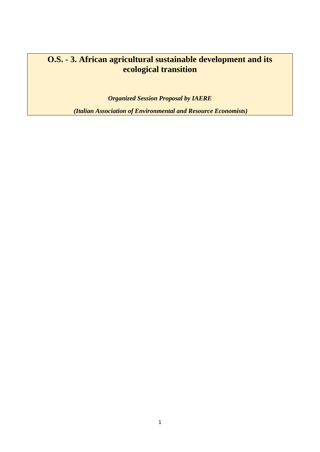# **O.S. - 3. African agricultural sustainable development and its ecological transition**

*Organized Session Proposal by IAERE*

*(Italian Association of Environmental and Resource Economists)*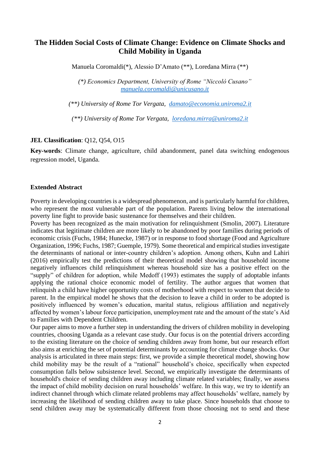## **The Hidden Social Costs of Climate Change: Evidence on Climate Shocks and Child Mobility in Uganda**

Manuela Coromaldi(\*), Alessio D'Amato (\*\*), Loredana Mirra (\*\*)

*(\*) Economics Department, University of Rome "Niccolò Cusano" [manuela.coromaldi@unicusano.it](mailto:manuela.coromaldi@unicusano.it)*

*(\*\*) University of Rome Tor Vergata, [damato@economia.uniroma2.it](mailto:damato@economia.uniroma2.it)*

*(\*\*) University of Rome Tor Vergata, [loredana.mirra@uniroma2.it](mailto:loredana.mirra@uniroma2.it)*

#### **JEL Classification**: Q12, Q54, O15

**Key-words**: Climate change, agriculture, child abandonment, panel data switching endogenous regression model, Uganda.

#### **Extended Abstract**

Poverty in developing countries is a widespread phenomenon, and is particularly harmful for children, who represent the most vulnerable part of the population. Parents living below the international poverty line fight to provide basic sustenance for themselves and their children.

Poverty has been recognized as the main motivation for relinquishment (Smolin, 2007). Literature indicates that legitimate children are more likely to be abandoned by poor families during periods of economic crisis (Fuchs, 1984; Hunecke, 1987) or in response to food shortage (Food and Agriculture Organization, 1996; Fuchs, 1987; Guemple, 1979). Some theoretical and empirical studies investigate the determinants of national or inter-country children's adoption. Among others, Kuhn and Lahiri (2016) empirically test the predictions of their theoretical model showing that household income negatively influences child relinquishment whereas household size has a positive effect on the "supply" of children for adoption, while Medoff (1993) estimates the supply of adoptable infants applying the rational choice economic model of fertility. The author argues that women that relinquish a child have higher opportunity costs of motherhood with respect to women that decide to parent. In the empirical model he shows that the decision to leave a child in order to be adopted is positively influenced by women's education, marital status, religious affiliation and negatively affected by women's labour force participation, unemployment rate and the amount of the state's Aid to Families with Dependent Children.

Our paper aims to move a further step in understanding the drivers of children mobility in developing countries, choosing Uganda as a relevant case study. Our focus is on the potential drivers according to the existing literature on the choice of sending children away from home, but our research effort also aims at enriching the set of potential determinants by accounting for climate change shocks. Our analysis is articulated in three main steps: first, we provide a simple theoretical model, showing how child mobility may be the result of a "rational" household's choice, specifically when expected consumption falls below subsistence level. Second, we empirically investigate the determinants of household's choice of sending children away including climate related variables; finally, we assess the impact of child mobility decision on rural households' welfare. In this way, we try to identify an indirect channel through which climate related problems may affect households' welfare, namely by increasing the likelihood of sending children away to take place. Since households that choose to send children away may be systematically different from those choosing not to send and these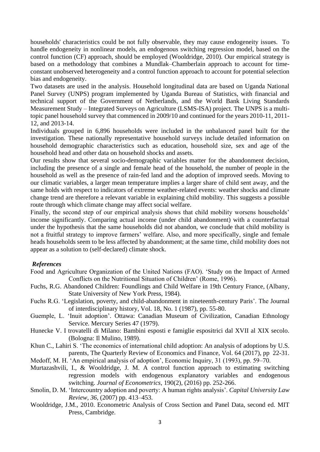households' characteristics could be not fully observable, they may cause endogeneity issues. To handle endogeneity in nonlinear models, an endogenous switching regression model, based on the control function (CF) approach, should be employed (Wooldridge, 2010). Our empirical strategy is based on a methodology that combines a Mundlak–Chamberlain approach to account for timeconstant unobserved heterogeneity and a control function approach to account for potential selection bias and endogeneity.

Two datasets are used in the analysis. Household longitudinal data are based on Uganda National Panel Survey (UNPS) program implemented by Uganda Bureau of Statistics, with financial and technical support of the Government of Netherlands, and the World Bank Living Standards Measurement Study – Integrated Surveys on Agriculture (LSMS-ISA) project. The UNPS is a multitopic panel household survey that commenced in 2009/10 and continued for the years 2010-11, 2011- 12, and 2013-14.

Individuals grouped in 6,896 households were included in the unbalanced panel built for the investigation. These nationally representative household surveys include detailed information on household demographic characteristics such as education, household size, sex and age of the household head and other data on household shocks and assets.

Our results show that several socio-demographic variables matter for the abandonment decision, including the presence of a single and female head of the household, the number of people in the household as well as the presence of rain-fed land and the adoption of improved seeds. Moving to our climatic variables, a larger mean temperature implies a larger share of child sent away, and the same holds with respect to indicators of extreme weather-related events: weather shocks and climate change trend are therefore a relevant variable in explaining child mobility. This suggests a possible route through which climate change may affect social welfare.

Finally, the second step of our empirical analysis shows that child mobility worsens households' income significantly. Comparing actual income (under child abandonment) with a counterfactual under the hypothesis that the same households did not abandon, we conclude that child mobility is not a fruitful strategy to improve farmers' welfare. Also, and more specifically, single and female heads households seem to be less affected by abandonment; at the same time, child mobility does not appear as a solution to (self-declared) climate shock.

## *References*

- Food and Agriculture Organization of the United Nations (FAO). 'Study on the Impact of Armed Conflicts on the Nutritional Situation of Children' (Rome, 1996).
- Fuchs, R.G. Abandoned Children: Foundlings and Child Welfare in 19th Century France, (Albany, State University of New York Press, 1984).
- Fuchs R.G. ['Legislation, poverty, and child-abandonment in nineteenth-century Paris'](https://www.jstor.org/stable/204728). The Journal of interdisciplinary history, Vol. 18, No. 1 (1987), pp. 55-80.
- Guemple, L. 'Inuit adoption'. Ottawa: Canadian Museum of Civilization, Canadian Ethnology Service. Mercury Series 47 (1979).
- Hunecke V. I trovatelli di Milano: Bambini esposti e famiglie espositrici dal XVII al XIX secolo. (Bologna: Il Mulino, 1989).
- Khun C., [Lahiri](https://scholar.google.it/citations?user=z-QgK3EAAAAJ&hl=it&oi=sra) S. 'The economics of international child adoption: An analysis of adoptions by U.S. parents, The Quarterly Review of Economics and Finance, [Vol. 64](https://www.sciencedirect.com/science/journal/10629769/64/supp/C) (2017), pp 22-31.
- Medoff, M. H. 'An empirical analysis of adoption', Economic Inquiry, 31 (1993), pp. 59–70.
- Murtazashvili, I., & Wooldridge, J. M. A control function approach to estimating switching regression models with endogenous explanatory variables and endogenous switching. *Journal of Econometrics*, 190(2), (2016) pp. 252-266.
- Smolin, D. M. 'Intercountry adoption and poverty: A human rights analysis'. *Capital University Law Review, 36*, (2007) pp. 413–453.
- Wooldridge, J.M., 2010. Econometric Analysis of Cross Section and Panel Data, second ed. MIT Press, Cambridge.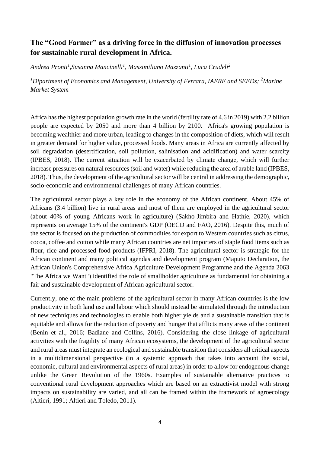# **The "Good Farmer" as a driving force in the diffusion of innovation processes for sustainable rural development in Africa.**

*Andrea Pronti<sup>1</sup> ,Susanna Mancinelli<sup>1</sup> , Massimiliano Mazzanti<sup>1</sup> , Luca Crudeli<sup>2</sup>*

*<sup>1</sup>Dipartment of Economics and Management, University of Ferrara, IAERE and SEEDs; <sup>2</sup>Marine Market System*

Africa has the highest population growth rate in the world (fertility rate of 4.6 in 2019) with 2.2 billion people are expected by 2050 and more than 4 billion by 2100. Africa's growing population is becoming wealthier and more urban, leading to changes in the composition of diets, which will result in greater demand for higher value, processed foods. Many areas in Africa are currently affected by soil degradation (desertification, soil pollution, salinisation and acidification) and water scarcity (IPBES, 2018). The current situation will be exacerbated by climate change, which will further increase pressures on natural resources (soil and water) while reducing the area of arable land (IPBES, 2018). Thus, the development of the agricultural sector will be central in addressing the demographic, socio-economic and environmental challenges of many African countries.

The agricultural sector plays a key role in the economy of the African continent. About 45% of Africans (3.4 billion) live in rural areas and most of them are employed in the agricultural sector (about 40% of young Africans work in agriculture) (Sakho-Jimbira and Hathie, 2020), which represents on average 15% of the continent's GDP (OECD and FAO, 2016). Despite this, much of the sector is focused on the production of commodities for export to Western countries such as citrus, cocoa, coffee and cotton while many African countries are net importers of staple food items such as flour, rice and processed food products (IFPRI, 2018). The agricultural sector is strategic for the African continent and many political agendas and development program (Maputo Declaration, the African Union's Comprehensive Africa Agriculture Development Programme and the Agenda 2063 "The Africa we Want") identified the role of smallholder agriculture as fundamental for obtaining a fair and sustainable development of African agricultural sector.

Currently, one of the main problems of the agricultural sector in many African countries is the low productivity in both land use and labour which should instead be stimulated through the introduction of new techniques and technologies to enable both higher yields and a sustainable transition that is equitable and allows for the reduction of poverty and hunger that afflicts many areas of the continent (Benin et al., 2016; Badiane and Collins, 2016). Considering the close linkage of agricultural activities with the fragility of many African ecosystems, the development of the agricultural sector and rural areas must integrate an ecological and sustainable transition that considers all critical aspects in a multidimensional perspective (in a systemic approach that takes into account the social, economic, cultural and environmental aspects of rural areas) in order to allow for endogenous change unlike the Green Revolution of the 1960s. Examples of sustainable alternative practices to conventional rural development approaches which are based on an extractivist model with strong impacts on sustainability are varied, and all can be framed within the framework of agroecology (Altieri, 1991; Altieri and Toledo, 2011).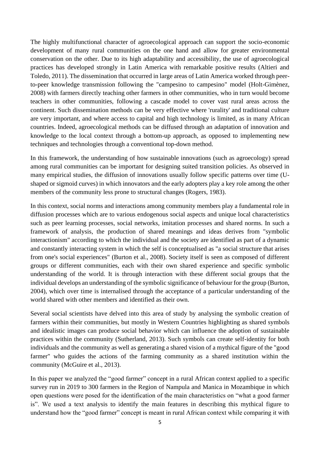The highly multifunctional character of agroecological approach can support the socio-economic development of many rural communities on the one hand and allow for greater environmental conservation on the other. Due to its high adaptability and accessibility, the use of agroecological practices has developed strongly in Latin America with remarkable positive results (Altieri and Toledo, 2011). The dissemination that occurred in large areas of Latin America worked through peerto-peer knowledge transmission following the "campesino to campesino" model (Holt-Gimènez, 2008) with farmers directly teaching other farmers in other communities, who in turn would become teachers in other communities, following a cascade model to cover vast rural areas across the continent. Such dissemination methods can be very effective where 'rurality' and traditional culture are very important, and where access to capital and high technology is limited, as in many African countries. Indeed, agroecological methods can be diffused through an adaptation of innovation and knowledge to the local context through a bottom-up approach, as opposed to implementing new techniques and technologies through a conventional top-down method.

In this framework, the understanding of how sustainable innovations (such as agroecology) spread among rural communities can be important for designing suited transition policies. As observed in many empirical studies, the diffusion of innovations usually follow specific patterns over time (Ushaped or sigmoid curves) in which innovators and the early adopters play a key role among the other members of the community less prone to structural changes (Rogers, 1983).

In this context, social norms and interactions among community members play a fundamental role in diffusion processes which are to various endogenous social aspects and unique local characteristics such as peer learning processes, social networks, imitation processes and shared norms. In such a framework of analysis, the production of shared meanings and ideas derives from "symbolic interactionism" according to which the individual and the society are identified as part of a dynamic and constantly interacting system in which the self is conceptualised as "a social structure that arises from one's social experiences" (Burton et al., 2008). Society itself is seen as composed of different groups or different communities, each with their own shared experience and specific symbolic understanding of the world. It is through interaction with these different social groups that the individual develops an understanding of the symbolic significance of behaviour for the group (Burton, 2004), which over time is internalised through the acceptance of a particular understanding of the world shared with other members and identified as their own.

Several social scientists have delved into this area of study by analysing the symbolic creation of farmers within their communities, but mostly in Western Countries highlighting as shared symbols and idealistic images can produce social behavior which can influence the adoption of sustainable practices within the community (Sutherland, 2013). Such symbols can create self-identity for both individuals and the community as well as generating a shared vision of a mythical figure of the "good farmer" who guides the actions of the farming community as a shared institution within the community (McGuire et al., 2013).

In this paper we analyzed the "good farmer" concept in a rural African context applied to a specific survey run in 2019 to 300 farmers in the Region of Nampula and Manica in Mozambique in which open questions were posed for the identification of the main characteristics on "what a good farmer is". We used a text analysis to identify the main features in describing this mythical figure to understand how the "good farmer" concept is meant in rural African context while comparing it with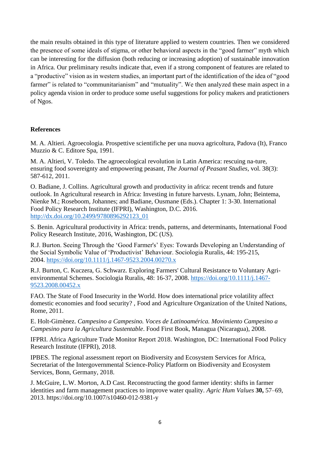the main results obtained in this type of literature applied to western countries. Then we considered the presence of some ideals of stigma, or other behavioral aspects in the "good farmer" myth which can be interesting for the diffusion (both reducing or increasing adoption) of sustainable innovation in Africa. Our preliminary results indicate that, even if a strong component of features are related to a "productive" vision as in western studies, an important part of the identification of the idea of "good farmer" is related to "communitarianism" and "mutuality". We then analyzed these main aspect in a policy agenda vision in order to produce some useful suggestions for policy makers and pratictioners of Ngos.

## **References**

M. A. Altieri. Agroecologia. Prospettive scientifiche per una nuova agricoltura, Padova (It), Franco Muzzio & C. Editore Spa, 1991.

M. A. Altieri, V. Toledo. The agroecological revolution in Latin America: rescuing na-ture, ensuring food sovereignty and empowering peasant, *The Journal of Peasant Studies*, vol. 38(3): 587-612, 2011.

O. Badiane, J. Collins. Agricultural growth and productivity in africa: recent trends and future outlook. In Agricultural research in Africa: Investing in future harvests. Lynam, John; Beintema, Nienke M.; Roseboom, Johannes; and Badiane, Ousmane (Eds.). Chapter 1: 3-30. International Food Policy Research Institute (IFPRI), Washington, D.C. 2016. [http://dx.doi.org/10.2499/9780896292123\\_01](http://dx.doi.org/10.2499/9780896292123_01)

S. Benin. Agricultural productivity in Africa: trends, patterns, and determinants, International Food Policy Research Institute, 2016, Washington, DC (US).

R.J. Burton. Seeing Through the 'Good Farmer's' Eyes: Towards Developing an Understanding of the Social Symbolic Value of 'Productivist' Behaviour. Sociologia Ruralis, 44: 195-215, 2004. <https://doi.org/10.1111/j.1467-9523.2004.00270.x>

R.J. Burton, C. Kuczera, G. Schwarz. Exploring Farmers' Cultural Resistance to Voluntary Agrienvironmental Schemes. Sociologia Ruralis, 48: 16-37, 2008. [https://doi.org/10.1111/j.1467-](https://doi.org/10.1111/j.1467-9523.2008.00452.x) [9523.2008.00452.x](https://doi.org/10.1111/j.1467-9523.2008.00452.x)

FAO. The State of Food Insecurity in the World. How does international price volatility affect domestic economies and food security? , Food and Agriculture Organization of the United Nations, Rome, 2011.

E. Holt-Gimènez. *Campesino a Campesino. Voces de Latinoamérica. Movimiento Campesino a Campesino para la Agricultura Sustentable*. Food First Book, Managua (Nicaragua), 2008.

IFPRI. Africa Agriculture Trade Monitor Report 2018. Washington, DC: International Food Policy Research Institute (IFPRI), 2018.

IPBES. The regional assessment report on Biodiversity and Ecosystem Services for Africa, Secretariat of the Intergovernmental Science-Policy Platform on Biodiversity and Ecosystem Services, Bonn, Germany, 2018.

J. McGuire, L.W. Morton, A.D Cast. Reconstructing the good farmer identity: shifts in farmer identities and farm management practices to improve water quality. *Agric Hum Values* **30,** 57–69, 2013. https://doi.org/10.1007/s10460-012-9381-y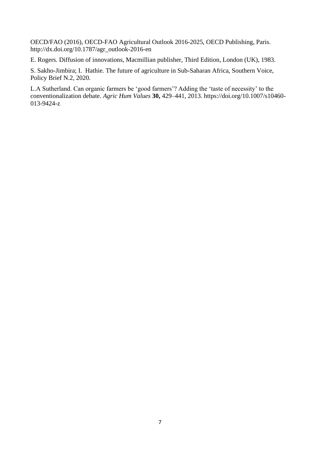OECD/FAO (2016), OECD-FAO Agricultural Outlook 2016-2025, OECD Publishing, Paris. http://dx.doi.org/10.1787/agr\_outlook-2016-en

E. Rogers. Diffusion of innovations, Macmillian publisher, Third Edition, London (UK), 1983.

S. Sakho-Jimbira; I. Hathie. The future of agriculture in Sub-Saharan Africa, Southern Voice, Policy Brief N.2, 2020.

L.A Sutherland. Can organic farmers be 'good farmers'? Adding the 'taste of necessity' to the conventionalization debate. *Agric Hum Values* **30,** 429–441, 2013. https://doi.org/10.1007/s10460- 013-9424-z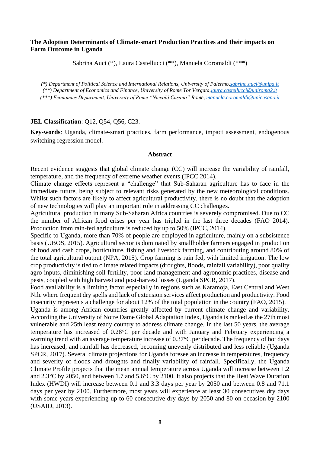### **The Adoption Determinants of Climate-smart Production Practices and their impacts on Farm Outcome in Uganda**

Sabrina Auci (\*), Laura Castellucci (\*\*), Manuela Coromaldi (\*\*\*)

*(\*) Department of Political Science and International Relations, University of Palermo[,sabrina.auci@unipa.it](mailto:sabrina.auci@unipa.it) (\*\*) Department of Economics and Finance, University of Rome Tor Vergata[,laura.castellucci@uniroma2.it](mailto:nicolo.barbieri@unife.it) (\*\*\*) Economics Department, University of Rome "Niccolò Cusano" Rome, [manuela.coromaldi@unicusano.it](mailto:manuela.coromaldi@unicusano.it)*

#### **JEL Classification**: Q12, Q54, Q56, C23.

**Key-words**: Uganda, climate-smart practices, farm performance, impact assessment, endogenous switching regression model.

#### **Abstract**

Recent evidence suggests that global climate change (CC) will increase the variability of rainfall, temperature, and the frequency of extreme weather events (IPCC 2014).

Climate change effects represent a "challenge" that Sub-Saharan agriculture has to face in the immediate future, being subject to relevant risks generated by the new meteorological conditions. Whilst such factors are likely to affect agricultural productivity, there is no doubt that the adoption of new technologies will play an important role in addressing CC challenges.

Agricultural production in many Sub-Saharan Africa countries is severely compromised. Due to CC the number of African food crises per year has tripled in the last three decades (FAO 2014). Production from rain-fed agriculture is reduced by up to 50% (IPCC, 2014).

Specific to Uganda, more than 70% of people are employed in agriculture, mainly on a subsistence basis (UBOS, 2015). Agricultural sector is dominated by smallholder farmers engaged in production of food and cash crops, horticulture, fishing and livestock farming, and contributing around 80% of the total agricultural output (NPA, 2015). Crop farming is rain fed, with limited irrigation. The low crop productivity is tied to climate related impacts (droughts, floods, rainfall variability), poor quality agro-inputs, diminishing soil fertility, poor land management and agronomic practices, disease and pests, coupled with high harvest and post-harvest losses (Uganda SPCR, 2017).

Food availability is a limiting factor especially in regions such as Karamoja, East Central and West Nile where frequent dry spells and lack of extension services affect production and productivity. Food insecurity represents a challenge for about 12% of the total population in the country (FAO, 2015).

Uganda is among African countries greatly affected by current climate change and variability. According the University of Notre Dame Global Adaptation Index, Uganda is ranked as the 27th most vulnerable and 25th least ready country to address climate change. In the last 50 years, the average temperature has increased of 0.28°C per decade and with January and February experiencing a warming trend with an average temperature increase of 0.37°C per decade. The frequency of hot days has increased, and rainfall has decreased, becoming unevenly distributed and less reliable (Uganda SPCR, 2017). Several climate projections for Uganda foresee an increase in temperatures, frequency and severity of floods and droughts and finally variability of rainfall. Specifically, the Uganda Climate Profile projects that the mean annual temperature across Uganda will increase between 1.2 and 2.3°C by 2050, and between 1.7 and 5.6°C by 2100. It also projects that the Heat Wave Duration Index (HWDI) will increase between 0.1 and 3.3 days per year by 2050 and between 0.8 and 71.1 days per year by 2100. Furthermore, most years will experience at least 30 consecutives dry days with some years experiencing up to 60 consecutive dry days by 2050 and 80 on occasion by 2100 (USAID, 2013).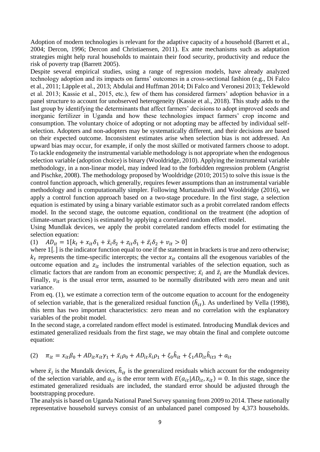Adoption of modern technologies is relevant for the adaptive capacity of a household (Barrett et al., 2004; Dercon, 1996; Dercon and Christiaensen, 2011). Ex ante mechanisms such as adaptation strategies might help rural households to maintain their food security, productivity and reduce the risk of poverty trap (Barrett 2005).

Despite several empirical studies, using a range of regression models, have already analyzed technology adoption and its impacts on farms' outcomes in a cross-sectional fashion (e.g., Di Falco et al., 2011; Läpple et al., 2013; Abdulai and Huffman 2014; Di Falco and Veronesi 2013; Teklewold et al. 2013; Kassie et al., 2015, etc.), few of them has considered farmers' adoption behavior in a panel structure to account for unobserved heterogeneity (Kassie et al., 2018). This study adds to the last group by identifying the determinants that affect farmers' decisions to adopt improved seeds and inorganic fertilizer in Uganda and how these technologies impact farmers' crop income and consumption. The voluntary choice of adopting or not adopting may be affected by individual selfselection. Adopters and non-adopters may be systematically different, and their decisions are based on their expected outcome. Inconsistent estimates arise when selection bias is not addressed. An upward bias may occur, for example, if only the most skilled or motivated farmers choose to adopt. To tackle endogeneity the instrumental variable methodology is not appropriate when the endogenous selection variable (adoption choice) is binary (Wooldridge, 2010). Applying the instrumental variable methodology, in a non-linear model, may indeed lead to the forbidden regression problem (Angrist and Pischke, 2008). The methodology proposed by Wooldridge (2010; 2015) to solve this issue is the control function approach, which generally, requires fewer assumptions than an instrumental variable methodology and is computationally simpler. Following Murtazashvili and Wooldridge (2016), we apply a control function approach based on a two-stage procedure. In the first stage, a selection equation is estimated by using a binary variable estimator such as a probit correlated random effects model. In the second stage, the outcome equation, conditional on the treatment (the adoption of climate-smart practices) is estimated by applying a correlated random effect model.

Using Mundlak devices, we apply the probit correlated random effects model for estimating the selection equation:

(1)  $AD_{it} = 1[k_t + x_{it}\delta_1 + \bar{x}_i\delta_2 + z_{it}\delta_1 + \bar{z}_i\delta_2 + v_{it} > 0]$ 

where  $1$ [.] is the indicator function equal to one if the statement in brackets is true and zero otherwise;  $k_t$  represents the time-specific intercepts; the vector  $x_{it}$  contains all the exogenous variables of the outcome equation and  $z_{it}$  includes the instrumental variables of the selection equation, such as climatic factors that are random from an economic perspective;  $\bar{x}_i$  and  $\bar{z}_i$  are the Mundlak devices. Finally,  $v_{it}$  is the usual error term, assumed to be normally distributed with zero mean and unit variance.

From eq. (1), we estimate a correction term of the outcome equation to account for the endogeneity of selection variable, that is the generalized residual function  $(\hat{h}_{it})$ . As underlined by Vella (1998), this term has two important characteristics: zero mean and no correlation with the explanatory variables of the probit model.

In the second stage, a correlated random effect model is estimated. Introducing Mundlak devices and estimated generalized residuals from the first stage, we may obtain the final and complete outcome equation:

(2) 
$$
\pi_{it} = x_{it}\beta_0 + AD_{it}x_{it}\gamma_1 + \bar{x}_i\rho_0 + AD_{it}\bar{x}_i\rho_1 + \xi_0\hat{h}_{it} + \xi_1AD_{it}\hat{h}_{it3} + a_{it}
$$

where  $\bar{x}_i$  is the Mundalk devices,  $\hat{h}_{it}$  is the generalized residuals which account for the endogeneity of the selection variable, and  $a_{it}$  is the error term with  $E(a_{it} | AD_{it}, x_{it}) = 0$ . In this stage, since the estimated generalized residuals are included, the standard error should be adjusted through the bootstrapping procedure.

The analysis is based on Uganda National Panel Survey spanning from 2009 to 2014. These nationally representative household surveys consist of an unbalanced panel composed by 4,373 households.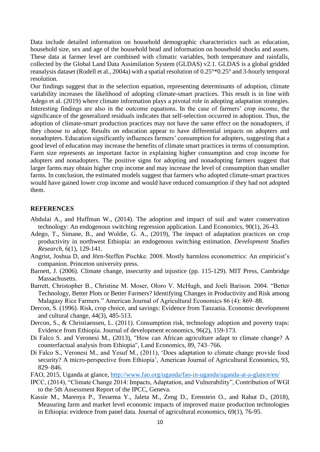Data include detailed information on household demographic characteristics such as education, household size, sex and age of the household head and information on household shocks and assets. These data at farmer level are combined with climatic variables, both temperature and rainfalls, collected by the Global Land Data Assimilation System (GLDAS) v2.1. GLDAS is a global gridded reanalysis dataset (Rodell et al., 2004a) with a spatial resolution of 0.25°\*0.25° and 3-hourly temporal resolution.

Our findings suggest that in the selection equation, representing determinants of adoption, climate variability increases the likelihood of adopting climate-smart practices. This result is in line with Adego et al. (2019) where climate information plays a pivotal role in adopting adaptation strategies. Interesting findings are also in the outcome equations. In the case of farmers' crop income, the significance of the generalized residuals indicates that self-selection occurred in adoption. Thus, the adoption of climate-smart production practices may not have the same effect on the nonadopters, if they choose to adopt. Results on education appear to have differential impacts on adopters and nonadopters. Education significantly influences farmers' consumption for adopters, suggesting that a good level of education may increase the benefits of climate smart practices in terms of consumption. Farm size represents an important factor in explaining higher consumption and crop income for adopters and nonadopters. The positive signs for adopting and nonadopting farmers suggest that larger farms may obtain higher crop income and may increase the level of consumption than smaller farms. In conclusion, the estimated models suggest that farmers who adopted climate-smart practices would have gained lower crop income and would have reduced consumption if they had not adopted them.

#### **REFERENCES**

- Abdulai A., and Huffman W., (2014). The adoption and impact of soil and water conservation technology: An endogenous switching regression application. Land Economics, 90(1), 26-43.
- Adego, T., Simane, B., and Woldie, G. A., (2019), The impact of adaptation practices on crop productivity in northwest Ethiopia: an endogenous switching estimation. *Development Studies Research*, 6(1), 129-141.
- Angrist, Joshua D, and Jörn-Steffen Pischke. 2008. Mostly harmless econometrics: An empiricist's companion. Princeton university press.
- Barnett, J. (2006). Climate change, insecurity and injustice (pp. 115-129). MIT Press, Cambridge Massachusetts.
- Barrett, Christopher B., Christine M. Moser, Oloro V. McHugh, and Joeli Barison. 2004. "Better Technology, Better Plots or Better Farmers? Identifying Changes in Productivity and Risk among Malagasy Rice Farmers." American Journal of Agricultural Economics 86 (4): 869–88.
- Dercon, S. (1996). Risk, crop choice, and savings: Evidence from Tanzania. Economic development and cultural change, 44(3), 485-513.
- Dercon, S., & Christiaensen, L. (2011). Consumption risk, technology adoption and poverty traps: Evidence from Ethiopia. Journal of development economics, 96(2), 159-173.
- Di Falco S. and Veronesi M., (2013), "How can African agriculture adapt to climate change? A counterfactual analysis from Ethiopia", Land Economics, 89, 743–766.
- Di Falco S., Veronesi M., and Yesuf M., (2011), 'Does adaptation to climate change provide food security? A micro-perspective from Ethiopia', American Journal of Agricultural Economics, 93, 829–846.
- FAO, 2015, Uganda at glance,<http://www.fao.org/uganda/fao-in-uganda/uganda-at-a-glance/en/>
- IPCC, (2014), "Climate Change 2014: Impacts, Adaptation, and Vulnerability", Contribution of WGI to the 5th Assessment Report of the IPCC, Geneva.
- Kassie M., Marenya P., Tessema Y., Jaleta M., Zeng D., Erenstein O., and Rahut D., (2018), Measuring farm and market level economic impacts of improved maize production technologies in Ethiopia: evidence from panel data. Journal of agricultural economics, 69(1), 76-95.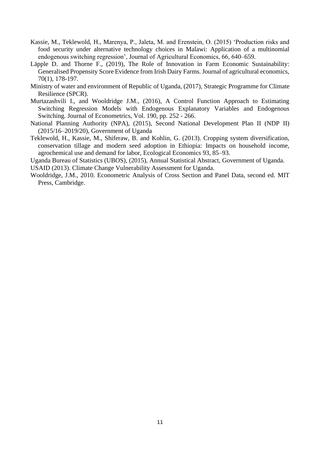- Kassie, M., Teklewold, H., Marenya, P., Jaleta, M. and Erenstein, O. (2015) 'Production risks and food security under alternative technology choices in Malawi: Application of a multinomial endogenous switching regression', Journal of Agricultural Economics, 66, 640–659.
- Läpple D. and Thorne F., (2019), The Role of Innovation in Farm Economic Sustainability: Generalised Propensity Score Evidence from Irish Dairy Farms. Journal of agricultural economics, 70(1), 178-197.
- Ministry of water and environment of Republic of Uganda, (2017), [Strategic Programme for Climate](http://ccd.go.ug/wp-content/uploads/2019/10/Uganda-Strategic-Programme-for-Climate-Resilience_May_2017.pdf)  [Resilience \(SPCR\).](http://ccd.go.ug/wp-content/uploads/2019/10/Uganda-Strategic-Programme-for-Climate-Resilience_May_2017.pdf)
- Murtazashvili I., and Wooldridge J.M., (2016), A Control Function Approach to Estimating Switching Regression Models with Endogenous Explanatory Variables and Endogenous Switching. Journal of Econometrics, Vol. 190, pp. 252 - 266.
- National Planning Authority (NPA), (2015), Second National Development Plan II (NDP II) (2015/16–2019/20), Government of Uganda
- Teklewold, H., Kassie, M., Shiferaw, B. and Kohlin, G. (2013). Cropping system diversification, conservation tillage and modern seed adoption in Ethiopia: Impacts on household income, agrochemical use and demand for labor, Ecological Economics 93, 85–93.

Uganda Bureau of Statistics (UBOS), (2015), Annual Statistical Abstract, Government of Uganda.

USAID (2013). Climate Change Vulnerability Assessment for Uganda.

Wooldridge, J.M., 2010. Econometric Analysis of Cross Section and Panel Data, second ed. MIT Press, Cambridge.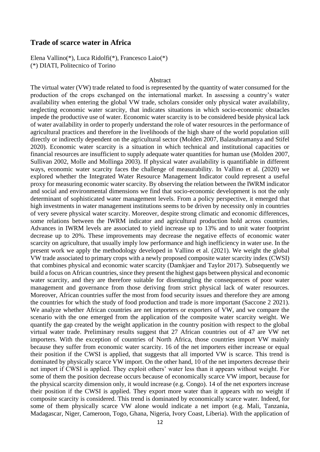### **Trade of scarce water in Africa**

Elena Vallino(\*), Luca Ridolfi(\*), Francesco Laio(\*) (\*) DIATI, Politecnico of Torino

#### Abstract

The virtual water (VW) trade related to food is represented by the quantity of water consumed for the production of the crops exchanged on the international market. In assessing a country's water availability when entering the global VW trade, scholars consider only physical water availability, neglecting economic water scarcity, that indicates situations in which socio-economic obstacles impede the productive use of water. Economic water scarcity is to be considered beside physical lack of water availability in order to properly understand the role of water resources in the performance of agricultural practices and therefore in the livelihoods of the high share of the world population still directly or indirectly dependent on the agricultural sector (Molden 2007, Balasubramanya and Stifel 2020). Economic water scarcity is a situation in which technical and institutional capacities or financial resources are insufficient to supply adequate water quantities for human use (Molden 2007, Sullivan 2002, Molle and Mollinga 2003). If physical water availability is quantifiable in different ways, economic water scarcity faces the challenge of measurability. In Vallino et al. (2020) we explored whether the Integrated Water Resource Management Indicator could represent a useful proxy for measuring economic water scarcity. By observing the relation between the IWRM indicator and social and environmental dimensions we find that socio-economic development is not the only determinant of sophisticated water management levels. From a policy perspective, it emerged that high investments in water management institutions seems to be driven by necessity only in countries of very severe physical water scarcity. Moreover, despite strong climatic and economic differences, some relations between the IWRM indicator and agricultural production hold across countries. Advances in IWRM levels are associated to yield increase up to 13% and to unit water footprint decrease up to 20%. These improvements may decrease the negative effects of economic water scarcity on agriculture, that usually imply low performance and high inefficiency in water use. In the present work we apply the methodology developed in Vallino et al. (2021). We weight the global VW trade associated to primary crops with a newly proposed composite water scarcity index (CWSI) that combines physical and economic water scarcity (Damkjaer and Taylor 2017). Subsequently we build a focus on African countries, since they present the highest gaps between physical and economic water scarcity, and they are therefore suitable for disentangling the consequences of poor water management and governance from those deriving from strict physical lack of water resources. Moreover, African countries suffer the most from food security issues and therefore they are among the countries for which the study of food production and trade is more important (Saccone 2 2021). We analyze whether African countries are net importers or exporters of VW, and we compare the scenario with the one emerged from the application of the composite water scarcity weight. We quantify the gap created by the weight application in the country position with respect to the global virtual water trade. Preliminary results suggest that 27 African countries out of 47 are VW net importers. With the exception of countries of North Africa, those countries import VW mainly because they suffer from economic water scarcity. 16 of the net importers either increase or equal their position if the CWSI is applied, that suggests that all imported VW is scarce. This trend is dominated by physically scarce VW import. On the other hand, 10 of the net importers decrease their net import if CWSI is applied. They exploit others' water less than it appears without weight. For some of them the position decrease occurs because of economically scarce VW import, because for the physical scarcity dimension only, it would increase (e.g. Congo). 14 of the net exporters increase their position if the CWSI is applied. They export more water than it appears with no weight if composite scarcity is considered. This trend is dominated by economically scarce water. Indeed, for some of them physically scarce VW alone would indicate a net import (e.g. Mali, Tanzania, Madagascar, Niger, Cameroon, Togo, Ghana, Nigeria, Ivory Coast, Liberia). With the application of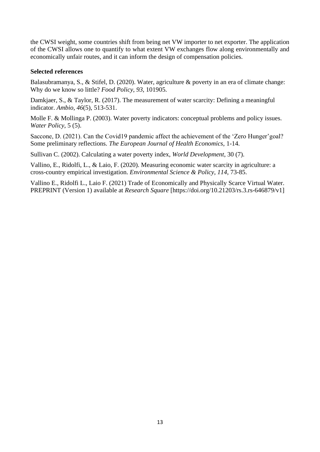the CWSI weight, some countries shift from being net VW importer to net exporter. The application of the CWSI allows one to quantify to what extent VW exchanges flow along environmentally and economically unfair routes, and it can inform the design of compensation policies.

### **Selected references**

Balasubramanya, S., & Stifel, D. (2020). Water, agriculture & poverty in an era of climate change: Why do we know so little? *Food Policy*, *93*, 101905.

Damkjaer, S., & Taylor, R. (2017). The measurement of water scarcity: Defining a meaningful indicator. *Ambio*, *46*(5), 513-531.

Molle F. & Mollinga P. (2003). Water poverty indicators: conceptual problems and policy issues. *Water Policy*, 5 (5).

Saccone, D. (2021). Can the Covid19 pandemic affect the achievement of the 'Zero Hunger'goal? Some preliminary reflections. *The European Journal of Health Economics*, 1-14.

Sullivan C. (2002). Calculating a water poverty index, *World Development*, 30 (7).

Vallino, E., Ridolfi, L., & Laio, F. (2020). Measuring economic water scarcity in agriculture: a cross-country empirical investigation. *Environmental Science & Policy*, *114*, 73-85.

Vallino E., Ridolfi L., Laio F. (2021) Trade of Economically and Physically Scarce Virtual Water. PREPRINT (Version 1) available at *Research Square* [https://doi.org/10.21203/rs.3.rs-646879/v1]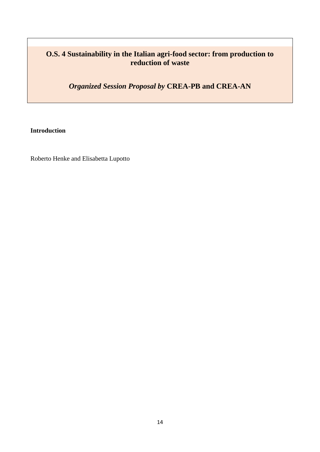# **O.S. 4 Sustainability in the Italian agri-food sector: from production to reduction of waste**

*Organized Session Proposal by* **CREA-PB and CREA-AN**

**Introduction**

Roberto Henke and Elisabetta Lupotto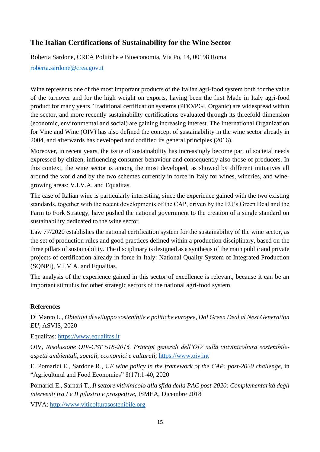# **The Italian Certifications of Sustainability for the Wine Sector**

Roberta Sardone, CREA Politiche e Bioeconomia, Via Po, 14, 00198 Roma

### [roberta.sardone@crea.gov.it](mailto:roberta.sardone@crea.gov.it)

Wine represents one of the most important products of the Italian agri-food system both for the value of the turnover and for the high weight on exports, having been the first Made in Italy agri-food product for many years. Traditional certification systems (PDO/PGI, Organic) are widespread within the sector, and more recently sustainability certifications evaluated through its threefold dimension (economic, environmental and social) are gaining increasing interest. The International Organization for Vine and Wine (OIV) has also defined the concept of sustainability in the wine sector already in 2004, and afterwards has developed and codified its general principles (2016).

Moreover, in recent years, the issue of sustainability has increasingly become part of societal needs expressed by citizen, influencing consumer behaviour and consequently also those of producers. In this context, the wine sector is among the most developed, as showed by different initiatives all around the world and by the two schemes currently in force in Italy for wines, wineries, and winegrowing areas: V.I.V.A. and Equalitas.

The case of Italian wine is particularly interesting, since the experience gained with the two existing standards, together with the recent developments of the CAP, driven by the EU's Green Deal and the Farm to Fork Strategy, have pushed the national government to the creation of a single standard on sustainability dedicated to the wine sector.

Law 77/2020 establishes the national certification system for the sustainability of the wine sector, as the set of production rules and good practices defined within a production disciplinary, based on the three pillars of sustainability. The disciplinary is designed as a synthesis of the main public and private projects of certification already in force in Italy: National Quality System of Integrated Production (SQNPI), V.I.V.A. and Equalitas.

The analysis of the experience gained in this sector of excellence is relevant, because it can be an important stimulus for other strategic sectors of the national agri-food system.

## **References**

Di Marco L., *Obiettivi di sviluppo sostenibile e politiche europee, Dal Green Deal al Next Generation EU*, ASVIS, 2020

Equalitas: [https://www.equalitas.it](https://www.equalitas.it/)

OIV, *Risoluzione OIV-CST 518-2016, Principi generali dell'OIV sulla vitivinicoltura sostenibileaspetti ambientali, sociali, economici e culturali,* https://www.oiv.int

E. Pomarici E., Sardone R., U*E wine policy in the framework of the CAP: post-2020 challenge*, in "Agricultural and Food Economics" 8(17):1-40, 2020

Pomarici E., Sarnari T., *Il settore vitivinicolo alla sfida della PAC post-2020: Complementarità degli interventi tra I e II pilastro e prospettive*, ISMEA, Dicembre 2018

VIVA: [http://www.viticolturasostenibile.org](http://www.viticolturasostenibile.org/)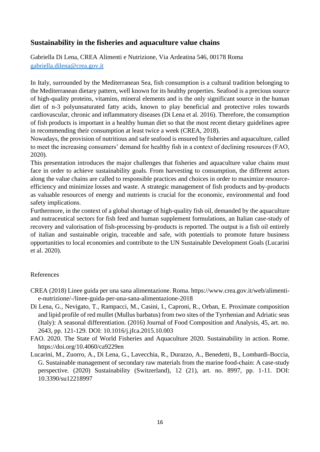# **Sustainability in the fisheries and aquaculture value chains**

Gabriella Di Lena, CREA Alimenti e Nutrizione, Via Ardeatina 546, 00178 Roma [gabriella.dilena@crea.gov.it](mailto:gabriella.dilena@crea.gov.it)

In Italy, surrounded by the Mediterranean Sea, fish consumption is a cultural tradition belonging to the Mediterranean dietary pattern, well known for its healthy properties. Seafood is a precious source of high-quality proteins, vitamins, mineral elements and is the only significant source in the human diet of n-3 polyunsaturated fatty acids, known to play beneficial and protective roles towards cardiovascular, chronic and inflammatory diseases (Di Lena et al. 2016). Therefore, the consumption of fish products is important in a healthy human diet so that the most recent dietary guidelines agree in recommending their consumption at least twice a week (CREA, 2018).

Nowadays, the provision of nutritious and safe seafood is ensured by fisheries and aquaculture, called to meet the increasing consumers' demand for healthy fish in a context of declining resources (FAO, 2020).

This presentation introduces the major challenges that fisheries and aquaculture value chains must face in order to achieve sustainability goals. From harvesting to consumption, the different actors along the value chains are called to responsible practices and choices in order to maximize resourceefficiency and minimize losses and waste. A strategic management of fish products and by-products as valuable resources of energy and nutrients is crucial for the economic, environmental and food safety implications.

Furthermore, in the context of a global shortage of high-quality fish oil, demanded by the aquaculture and nutraceutical sectors for fish feed and human supplement formulations, an Italian case-study of recovery and valorisation of fish-processing by-products is reported. The output is a fish oil entirely of italian and sustainable origin, traceable and safe, with potentials to promote future business opportunities to local economies and contribute to the UN Sustainable Development Goals (Lucarini et al. 2020).

#### References

- CREA (2018) Linee guida per una sana alimentazione. Roma. https://www.crea.gov.it/web/alimentie-nutrizione/-/linee-guida-per-una-sana-alimentazione-2018
- Di Lena, G., Nevigato, T., Rampacci, M., Casini, I., Caproni, R., Orban, E. Proximate composition and lipid profile of red mullet (Mullus barbatus) from two sites of the Tyrrhenian and Adriatic seas (Italy): A seasonal differentiation. (2016) Journal of Food Composition and Analysis, 45, art. no. 2643, pp. 121-129. DOI: 10.1016/j.jfca.2015.10.003
- FAO. 2020. The State of World Fisheries and Aquaculture 2020. Sustainability in action. Rome. https://doi.org/10.4060/ca9229en
- Lucarini, M., Zuorro, A., Di Lena, G., Lavecchia, R., Durazzo, A., Benedetti, B., Lombardi-Boccia, G. Sustainable management of secondary raw materials from the marine food-chain: A case-study perspective. (2020) Sustainability (Switzerland), 12 (21), art. no. 8997, pp. 1-11. DOI: 10.3390/su12218997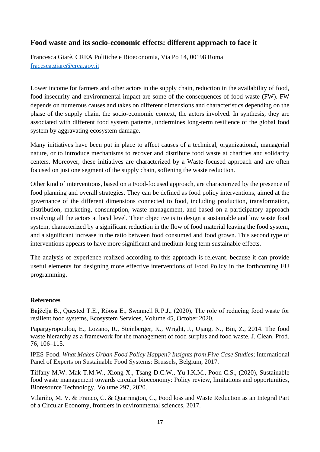## **Food waste and its socio-economic effects: different approach to face it**

Francesca Giarè, CREA Politiche e Bioeconomia, Via Po 14, 00198 Roma [fracesca.giare@crea.gov.it](mailto:fracesca.giare@crea.gov.it)

Lower income for farmers and other actors in the supply chain, reduction in the availability of food, food insecurity and environmental impact are some of the consequences of food waste (FW). FW depends on numerous causes and takes on different dimensions and characteristics depending on the phase of the supply chain, the socio-economic context, the actors involved. In synthesis, they are associated with different food system patterns, undermines long-term resilience of the global food system by aggravating ecosystem damage.

Many initiatives have been put in place to affect causes of a technical, organizational, managerial nature, or to introduce mechanisms to recover and distribute food waste at charities and solidarity centers. Moreover, these initiatives are characterized by a Waste-focused approach and are often focused on just one segment of the supply chain, softening the waste reduction.

Other kind of interventions, based on a Food-focused approach, are characterized by the presence of food planning and overall strategies. They can be defined as food policy interventions, aimed at the governance of the different dimensions connected to food, including production, transformation, distribution, marketing, consumption, waste management, and based on a participatory approach involving all the actors at local level. Their objective is to design a sustainable and low waste food system, characterized by a significant reduction in the flow of food material leaving the food system, and a significant increase in the ratio between food consumed and food grown. This second type of interventions appears to have more significant and medium-long term sustainable effects.

The analysis of experience realized according to this approach is relevant, because it can provide useful elements for designing more effective interventions of Food Policy in the forthcoming EU programming.

#### **References**

Bajželja B., Quested T.E., Röösa E., Swannell R.P.J., (2020), The role of reducing food waste for resilient food systems, Ecosystem Services, Volume 45, October 2020.

Papargyropoulou, E., Lozano, R., Steinberger, K., Wright, J., Ujang, N., Bin, Z., 2014. The food waste hierarchy as a framework for the management of food surplus and food waste. J. Clean. Prod. 76, 106–115.

IPES-Food. *What Makes Urban Food Policy Happen? Insights from Five Case Studies*; International Panel of Experts on Sustainable Food Systems: Brussels, Belgium, 2017.

Tiffany M.W. Mak T.M.W., Xiong X., Tsang D.C.W., Yu I.K.M., Poon C.S., (2020), Sustainable food waste management towards circular bioeconomy: Policy review, limitations and opportunities, Bioresource Technology, Volume 297, 2020.

Vilariño, M. V. & Franco, C. & Quarrington, C., Food loss and Waste Reduction as an Integral Part of a Circular Economy, frontiers in environmental sciences, 2017.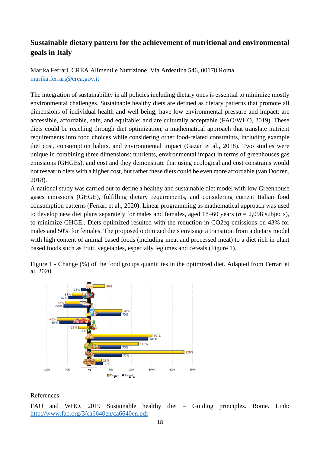# **Sustainable dietary pattern for the achievement of nutritional and environmental goals in Italy**

Marika Ferrari, CREA Alimenti e Nutrizione, Via Ardeatina 546, 00178 Roma [marika.ferrari@crea.gov.it](mailto:marika.ferrari@crea.gov.it)

The integration of sustainability in all policies including dietary ones is essential to minimize mostly environmental challenges. Sustainable healthy diets are defined as dietary patterns that promote all dimensions of individual health and well-being; have low environmental pressure and impact; are accessible, affordable, safe, and equitable; and are culturally acceptable (FAO/WHO, 2019). These diets could be reaching through diet optimization, a mathematical approach that translate nutrient requirements into food choices while considering other food-related constraints, including example diet cost, consumption habits, and environmental impact (Gazan et al., 2018). Two studies were unique in combining three dimensions: nutrients, environmental impact in terms of greenhouses gas emissions (GHGEs), and cost and they demonstrate that using ecological and cost constrains would not reseat in diets with a higher cost, but rather these diets could be even more affordable (van Dooren, 2018).

A national study was carried out to define a healthy and sustainable diet model with low Greenhouse gases emissions (GHGE), fulfilling dietary requirements, and considering current Italian food consumption patterns (Ferrari et al., 2020). Linear programming as mathematical approach was used to develop new diet plans separately for males and females, aged 18–60 years (*n* = 2,098 subjects), to minimize GHGE.. Diets optimized resulted with the reduction in CO2eq emissions on 43% for males and 50% for females. The proposed optimized diets envisage a transition from a dietary model with high content of animal based foods (including meat and processed meat) to a diet rich in plant based foods such as fruit, vegetables, especially legumes and cereals (Figure 1).

Figure 1 - Change (%) of the food groups quantities in the optimized diet. Adapted from Ferrari et al, 2020



#### References

FAO and WHO. 2019 Sustainable healthy diet – Guiding principles. Rome. Link: <http://www.fao.org/3/ca6640en/ca6640en.pdf>